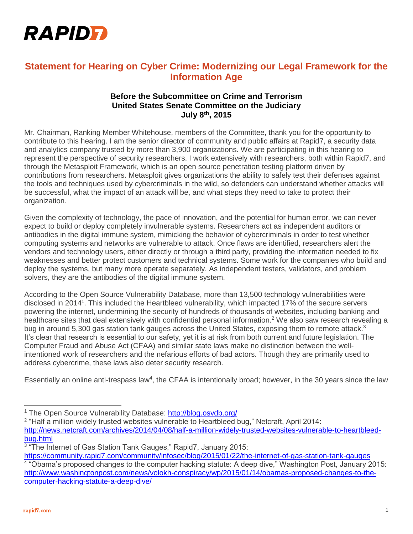

## **Statement for Hearing on Cyber Crime: Modernizing our Legal Framework for the Information Age**

## **Before the Subcommittee on Crime and Terrorism United States Senate Committee on the Judiciary July 8th, 2015**

Mr. Chairman, Ranking Member Whitehouse, members of the Committee, thank you for the opportunity to contribute to this hearing. I am the senior director of community and public affairs at Rapid7, a security data and analytics company trusted by more than 3,900 organizations. We are participating in this hearing to represent the perspective of security researchers. I work extensively with researchers, both within Rapid7, and through the Metasploit Framework, which is an open source penetration testing platform driven by contributions from researchers. Metasploit gives organizations the ability to safely test their defenses against the tools and techniques used by cybercriminals in the wild, so defenders can understand whether attacks will be successful, what the impact of an attack will be, and what steps they need to take to protect their organization.

Given the complexity of technology, the pace of innovation, and the potential for human error, we can never expect to build or deploy completely invulnerable systems. Researchers act as independent auditors or antibodies in the digital immune system, mimicking the behavior of cybercriminals in order to test whether computing systems and networks are vulnerable to attack. Once flaws are identified, researchers alert the vendors and technology users, either directly or through a third party, providing the information needed to fix weaknesses and better protect customers and technical systems. Some work for the companies who build and deploy the systems, but many more operate separately. As independent testers, validators, and problem solvers, they are the antibodies of the digital immune system.

According to the Open Source Vulnerability Database, more than 13,500 technology vulnerabilities were disclosed in 2014<sup>1</sup>. This included the Heartbleed vulnerability, which impacted 17% of the secure servers powering the internet, undermining the security of hundreds of thousands of websites, including banking and healthcare sites that deal extensively with confidential personal information.<sup>2</sup> We also saw research revealing a bug in around 5,300 gas station tank gauges across the United States, exposing them to remote attack.<sup>3</sup> It's clear that research is essential to our safety, yet it is at risk from both current and future legislation. The Computer Fraud and Abuse Act (CFAA) and similar state laws make no distinction between the wellintentioned work of researchers and the nefarious efforts of bad actors. Though they are primarily used to address cybercrime, these laws also deter security research.

Essentially an online anti-trespass law<sup>4</sup>, the CFAA is intentionally broad; however, in the 30 years since the law

- <sup>2</sup> "Half a million widely trusted websites vulnerable to Heartbleed bug," Netcraft, April 2014: [http://news.netcraft.com/archives/2014/04/08/half-a-million-widely-trusted-websites-vulnerable-to-heartbleed](http://news.netcraft.com/archives/2014/04/08/half-a-million-widely-trusted-websites-vulnerable-to-heartbleed-bug.html)[bug.html](http://news.netcraft.com/archives/2014/04/08/half-a-million-widely-trusted-websites-vulnerable-to-heartbleed-bug.html)
- <sup>3</sup> "The Internet of Gas Station Tank Gauges," Rapid7, January 2015:
- <https://community.rapid7.com/community/infosec/blog/2015/01/22/the-internet-of-gas-station-tank-gauges> 4 "Obama's proposed changes to the computer hacking statute: A deep dive," Washington Post, January 2015: [http://www.washingtonpost.com/news/volokh-conspiracy/wp/2015/01/14/obamas-proposed-changes-to-the](http://www.washingtonpost.com/news/volokh-conspiracy/wp/2015/01/14/obamas-proposed-changes-to-the-computer-hacking-statute-a-deep-dive/)[computer-hacking-statute-a-deep-dive/](http://www.washingtonpost.com/news/volokh-conspiracy/wp/2015/01/14/obamas-proposed-changes-to-the-computer-hacking-statute-a-deep-dive/)

 $\overline{a}$ 

<sup>&</sup>lt;sup>1</sup> The Open Source Vulnerability Database:<http://blog.osvdb.org/>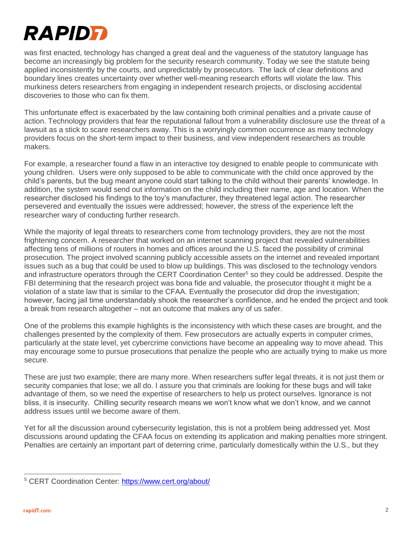

was first enacted, technology has changed a great deal and the vagueness of the statutory language has become an increasingly big problem for the security research community. Today we see the statute being applied inconsistently by the courts, and unpredictably by prosecutors. The lack of clear definitions and boundary lines creates uncertainty over whether well-meaning research efforts will violate the law. This murkiness deters researchers from engaging in independent research projects, or disclosing accidental discoveries to those who can fix them.

This unfortunate effect is exacerbated by the law containing both criminal penalties and a private cause of action. Technology providers that fear the reputational fallout from a vulnerability disclosure use the threat of a lawsuit as a stick to scare researchers away. This is a worryingly common occurrence as many technology providers focus on the short-term impact to their business, and view independent researchers as trouble makers.

For example, a researcher found a flaw in an interactive toy designed to enable people to communicate with young children. Users were only supposed to be able to communicate with the child once approved by the child's parents, but the bug meant anyone could start talking to the child without their parents' knowledge. In addition, the system would send out information on the child including their name, age and location. When the researcher disclosed his findings to the toy's manufacturer, they threatened legal action. The researcher persevered and eventually the issues were addressed; however, the stress of the experience left the researcher wary of conducting further research.

While the majority of legal threats to researchers come from technology providers, they are not the most frightening concern. A researcher that worked on an internet scanning project that revealed vulnerabilities affecting tens of millions of routers in homes and offices around the U.S. faced the possibility of criminal prosecution. The project involved scanning publicly accessible assets on the internet and revealed important issues such as a bug that could be used to blow up buildings. This was disclosed to the technology vendors and infrastructure operators through the CERT Coordination Center<sup>5</sup> so they could be addressed. Despite the FBI determining that the research project was bona fide and valuable, the prosecutor thought it might be a violation of a state law that is similar to the CFAA. Eventually the prosecutor did drop the investigation; however, facing jail time understandably shook the researcher's confidence, and he ended the project and took a break from research altogether – not an outcome that makes any of us safer.

One of the problems this example highlights is the inconsistency with which these cases are brought, and the challenges presented by the complexity of them. Few prosecutors are actually experts in computer crimes, particularly at the state level, yet cybercrime convictions have become an appealing way to move ahead. This may encourage some to pursue prosecutions that penalize the people who are actually trying to make us more secure.

These are just two example; there are many more. When researchers suffer legal threats, it is not just them or security companies that lose; we all do. I assure you that criminals are looking for these bugs and will take advantage of them, so we need the expertise of researchers to help us protect ourselves. Ignorance is not bliss, it is insecurity. Chilling security research means we won't know what we don't know, and we cannot address issues until we become aware of them.

Yet for all the discussion around cybersecurity legislation, this is not a problem being addressed yet. Most discussions around updating the CFAA focus on extending its application and making penalties more stringent. Penalties are certainly an important part of deterring crime, particularly domestically within the U.S., but they

 $\overline{a}$ 

<sup>5</sup> CERT Coordination Center:<https://www.cert.org/about/>